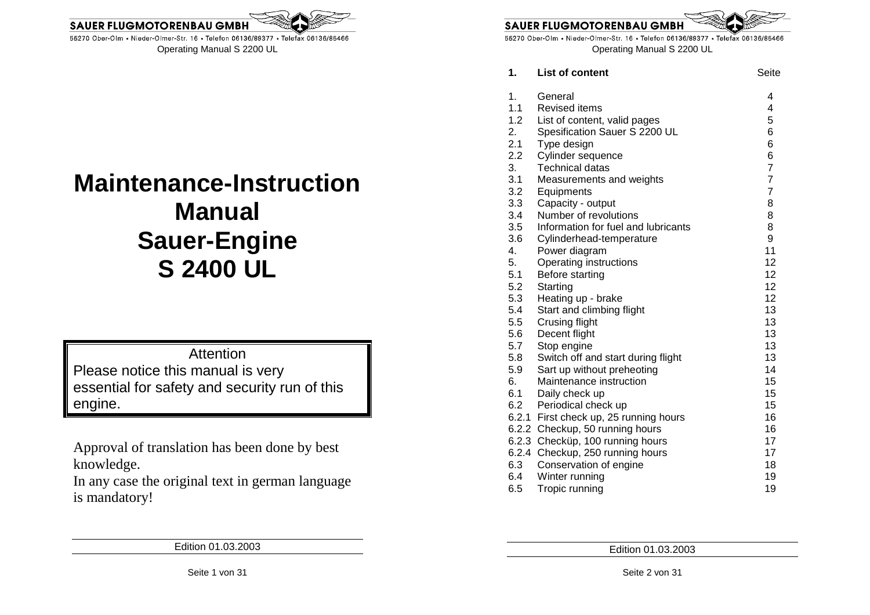

# **Maintenance-Instruction Manual Sauer-Engine S 2400 UL**

Attention Please notice this manual is very essential for safety and security run of this engine.

Approval of translation has been done by best knowledge.

 In any case the original text in german language is mandatory!

55270 Ober-Olm • Nieder-Olmer-Str. 16 • Telefon 06136/89377 • Telefax 06136/85466

**SAUER FLUGMOTORENBAU GMI** 

Operating Manual S 2200 UL

| 1.  | <b>List of content</b>                 | Seite          |
|-----|----------------------------------------|----------------|
| 1.  | General                                | 4              |
| 1.1 | <b>Revised items</b>                   | 4              |
| 1.2 | List of content, valid pages           | 5              |
| 2.  | Spesification Sauer S 2200 UL          | 6              |
| 2.1 | Type design                            | 6              |
| 2.2 | Cylinder sequence                      | 6              |
| 3.  | <b>Technical datas</b>                 | $\overline{7}$ |
| 3.1 | Measurements and weights               | $\overline{7}$ |
| 3.2 | Equipments                             | $\overline{7}$ |
| 3.3 | Capacity - output                      | 8              |
| 3.4 | Number of revolutions                  | 8              |
| 3.5 | Information for fuel and lubricants    | 8              |
| 3.6 | Cylinderhead-temperature               | 9              |
| 4.  | Power diagram                          | 11             |
| 5.  | Operating instructions                 | 12             |
| 5.1 | Before starting                        | 12             |
| 5.2 | Starting                               | 12             |
| 5.3 | Heating up - brake                     | 12             |
| 5.4 | Start and climbing flight              | 13             |
| 5.5 | Crusing flight                         | 13             |
| 5.6 | Decent flight                          | 13             |
| 5.7 | Stop engine                            | 13             |
| 5.8 | Switch off and start during flight     | 13             |
| 5.9 | Sart up without preheoting             | 14             |
| 6.  | Maintenance instruction                | 15             |
| 6.1 | Daily check up                         | 15             |
| 6.2 | Periodical check up                    | 15             |
|     | 6.2.1 First check up, 25 running hours | 16             |
|     | 6.2.2 Checkup, 50 running hours        | 16             |
|     | 6.2.3 Checküp, 100 running hours       | 17             |
|     | 6.2.4 Checkup, 250 running hours       | 17             |
| 6.3 | Conservation of engine                 | 18             |
| 6.4 | Winter running                         | 19             |
| 6.5 | Tropic running                         | 19             |

Edition 01.03.2003

Edition 01.03.2003

Seite 1 von 31

Seite 2 von 31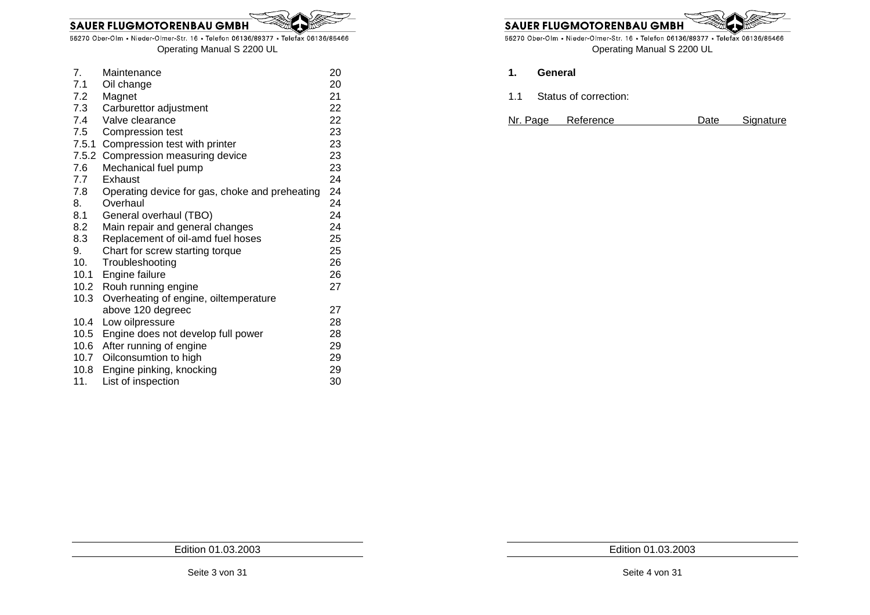55270 Ober-Olm • Nieder-Olmer-Str. 16 • Telefon 06136/89377 • Telefax 06136/85466 Operating Manual S 2200 UL

| 7 <sub>1</sub> | Maintenance                                    | 20 |
|----------------|------------------------------------------------|----|
| 7.1            | Oil change                                     | 20 |
| 7.2            | Magnet                                         | 21 |
| 7.3            | Carburettor adjustment                         | 22 |
| 7.4            | Valve clearance                                | 22 |
| 7.5            | <b>Compression test</b>                        | 23 |
| 7.5.1          | Compression test with printer                  | 23 |
|                | 7.5.2 Compression measuring device             | 23 |
| 7.6            | Mechanical fuel pump                           | 23 |
| 7.7            | Exhaust                                        | 24 |
| 7.8            | Operating device for gas, choke and preheating | 24 |
| 8.             | Overhaul                                       | 24 |
| 8.1            | General overhaul (TBO)                         | 24 |
| 8.2            | Main repair and general changes                | 24 |
| 8.3            | Replacement of oil-amd fuel hoses              | 25 |
| 9.             | Chart for screw starting torque                | 25 |
| 10.            | Troubleshooting                                | 26 |
| 10.1           | Engine failure                                 | 26 |
|                | 10.2 Rouh running engine                       | 27 |
| 10.3           | Overheating of engine, oiltemperature          |    |
|                | above 120 degreec                              | 27 |
| 10.4           | Low oilpressure                                | 28 |
| 10.5           | Engine does not develop full power             | 28 |
| 10.6           | After running of engine                        | 29 |
| 10.7           | Oilconsumtion to high                          | 29 |
| 10.8           | Engine pinking, knocking                       | 29 |
| 11.            | List of inspection                             | 30 |

**SAUER FLUGMOTORENBAU GMBH** 

55270 Ober-Olm • Nieder-Olmer-Str. 16 • Telefon 06136/89377 • Telefax 06136/85466 Operating Manual S 2200 UL

- **1. General**
- 1.1 Status of correction:
- Nr. Page Reference Date Signature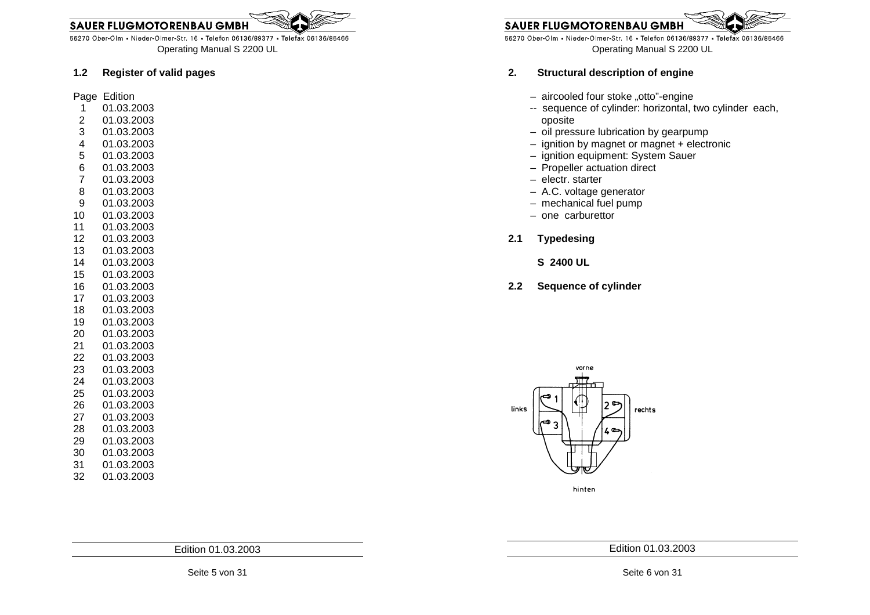

Edition 01.03.2003

## Operating Manual S 2200 UL

55270 Ober-Olm • Nieder-Olmer-Str. 16 • Telefon 06136/89377 • Telefax 06136/85466

#### **1.2 Register of valid pages**

Page Edition

- 1 01.03.2003
- 2 01.03.2003
- 3 01.03.2003
- 4 01.03.2003
- 5 01.03.2003
- 6 01.03.2003
- 7 01.03.2003
- 8 01.03.2003
- 9 01.03.2003
- 10 01.03.2003
- 11 01.03.2003
- 12 01.03.2003
- 13 01.03.2003
- 14 01.03.2003
- 15 01.03.2003
- 16 01.03.2003
- 17 01.03.2003
- 18 01.03.2003
- 19 01.03.2003
- 20 01.03.2003
- 21 01.03.2003
- 22 01.03.2003
- 23 01.03.2003
- 24 01.03.2003
- 25 01.03.2003
- 26 01.03.2003
- 27 01.03.2003
- 
- 28 01.03.2003
- 29 01.03.2003
- 30 01.03.2003
- 31 01.03.2003
- 32 01.03.2003

**SAUER FLUGMOTORENBAU GMBH** 

55270 Ober-Olm • Nieder-Olmer-Str. 16 • Telefon 06136/89377 • Telefax 06136/85466 Operating Manual S 2200 UL

#### **2. Structural description of engine**

- aircooled four stoke "otto"-engine
- -- sequence of cylinder: horizontal, two cylinder each, oposite
- oil pressure lubrication by gearpump
- – ignition by magnet or magnet + electronic
	- ignition equipment: System Sauer
	- Propeller actuation direct
	- electr. starter
- – A.C. voltage generator
	- mechanical fuel pump
	- one carburettor
- **2.1 Typedesing** 
	- **S 2400 UL**
- **2.2 Sequence of cylinder**



hinten

Edition 01.03.2003



**SAUER FLUGMOTORENBAU GMBH**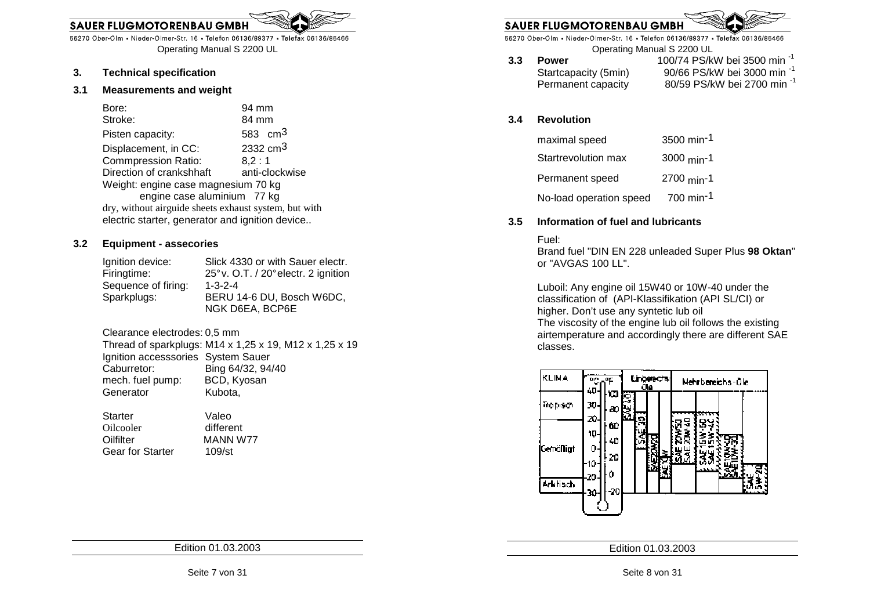55270 Ober-Olm • Nieder-Olmer-Str. 16 • Telefon 06136/89377 • Telefax 06136/85466 Operating Manual S 2200 UL

#### **3. Technical specification**

#### **3.1 Measurements and weight**

|                             | Bore:                                                 | 94 mm                |
|-----------------------------|-------------------------------------------------------|----------------------|
|                             | Stroke:                                               | 84 mm                |
|                             | Pisten capacity:                                      | 583 $cm3$            |
|                             | Displacement, in CC:                                  | 2332 cm <sup>3</sup> |
|                             | <b>Commpression Ratio:</b>                            | 8.2:1                |
|                             | Direction of crankshhaft                              | anti-clockwise       |
|                             | Weight: engine case magnesium 70 kg                   |                      |
| engine case aluminium 77 kg |                                                       |                      |
|                             | dry, without airguide sheets exhaust system, but with |                      |
|                             | electric starter, generator and ignition device       |                      |
|                             |                                                       |                      |

#### **3.2 Equipment - assecories**

| Ignition device:    | Slick 4330 or with Sauer electr.     |
|---------------------|--------------------------------------|
| Firingtime:         | 25° v. O.T. / 20° electr. 2 ignition |
| Sequence of firing: | $1 - 3 - 2 - 4$                      |
| Sparkplugs:         | BERU 14-6 DU, Bosch W6DC,            |
|                     | NGK D6EA, BCP6E                      |

Clearance electrodes: 0,5 mm

 Thread of sparkplugs: M14 x 1,25 x 19, M12 x 1,25 x 19 Ignition accesssories System Sauer Caburretor: Bing 64/32, 94/40 mech. fuel pump: BCD, Kyosan Generator **Kubota**,

 Starter Valeo Oilcooler Oilfilter MANN W77 Gear for Starter 109/st

different

**SAUER FLUGMOTORENBAU GMB** 

55270 Ober-Olm • Nieder-Olmer-Str. 16 • Telefon 06136/89377 • Telefax 06136/85466

- Operating Manual S 2200 UL
- **3.3 Power** 100/74 PS/kW bei 3500 min -1 Startcapacity (5min) 90/66 PS/kW bei 3000 min -1 Permanent capacity 80/59 PS/kW bei 2700 min -1

#### **3.4 Revolution**

| maximal speed           | 3500 min <sup>-1</sup>   |
|-------------------------|--------------------------|
| Startrevolution max     | 3000 min-1               |
| Permanent speed         | $2700$ min <sup>-1</sup> |
| No-load operation speed | $700 \text{ min}^{-1}$   |

#### **3.5 Information of fuel and lubricants**

#### Fuel:

 Brand fuel "DIN EN 228 unleaded Super Plus **98 Oktan**" or "AVGAS 100 LL".

 Luboil: Any engine oil 15W40 or 10W-40 under the classification of (API-Klassifikation (API SL/CI) or higher. Don't use any syntetic lub oil The viscosity of the engine lub oil follows the existing airtemperature and accordingly there are different SAE classes.



Edition 01.03.2003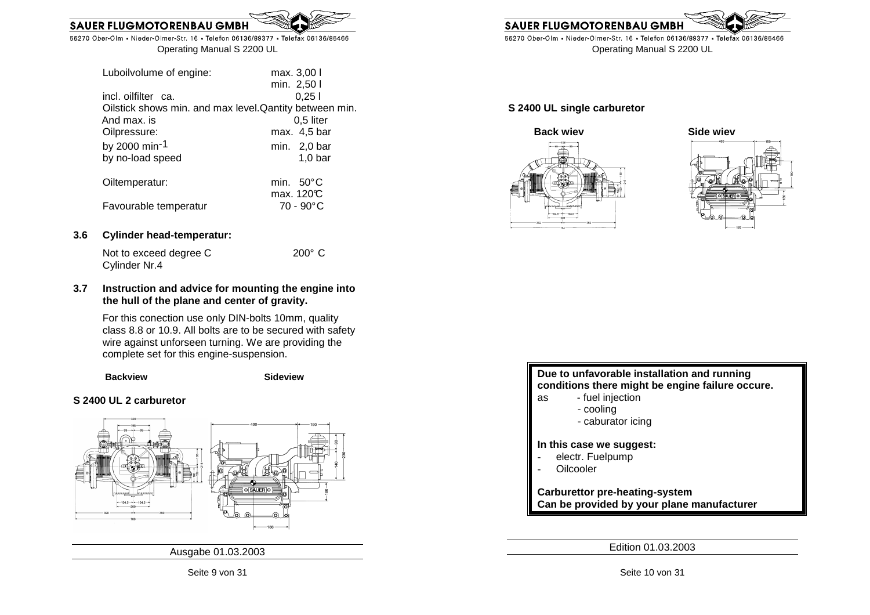

| max. 3,00 l                                             |
|---------------------------------------------------------|
| min. 2,50 l                                             |
| 0.251                                                   |
| Oilstick shows min. and max level. Qantity between min. |
| $0,5$ liter                                             |
| max. 4,5 bar                                            |
| min. $2,0$ bar                                          |
| $1,0$ bar                                               |
| min. $50^{\circ}$ C                                     |
| max. 120°C                                              |
| 70 - 90°C                                               |
|                                                         |

#### **3.6 Cylinder head-temperatur:**

| Not to exceed degree C | $200^\circ$ C |
|------------------------|---------------|
| Cylinder Nr.4          |               |

#### **3.7 Instruction and advice for mounting the engine into the hull of the plane and center of gravity.**

For this conection use only DIN-bolts 10mm, quality class 8.8 or 10.9. All bolts are to be secured with safety wire against unforseen turning. We are providing the complete set for this engine-suspension.

**Backview Sideview** 

#### **S 2400 UL 2 carburetor**



Ausgabe 01.03.2003



55270 Ober-Olm • Nieder-Olmer-Str. 16 • Telefon 06136/89377 • Telefax 06136/85466 Operating Manual S 2200 UL

#### **S 2400 UL single carburetor**



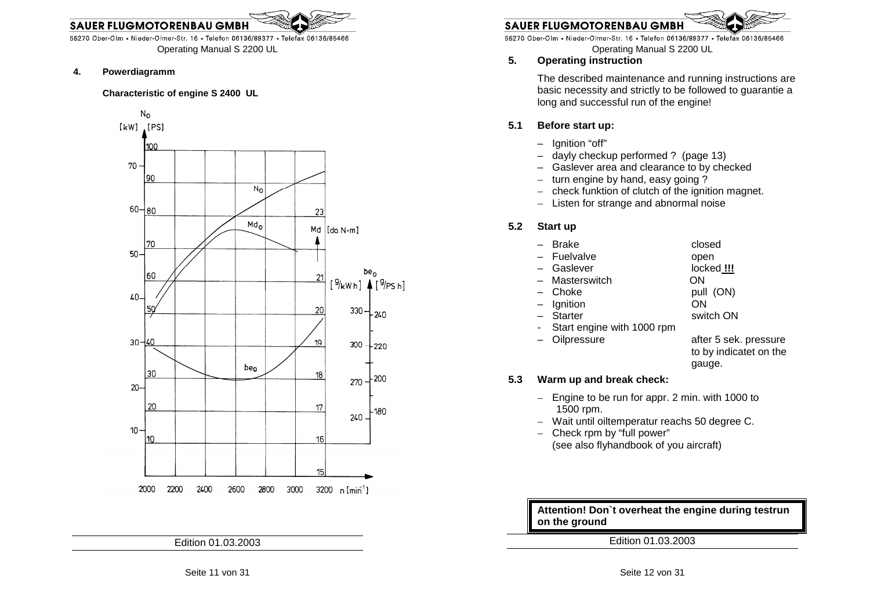55270 Ober-Olm • Nieder-Olmer-Str. 16 • Telefon 06136/89377 • Telefax 06136/85466 Operating Manual S 2200 UL

#### **4. Powerdiagramm**

#### **Characteristic of engine S 2400 UL**



Edition 01.03.2003



#### **SAUER FLUGMOTORENBAU GMBH**

55270 Ober-Olm • Nieder-Olmer-Str. 16 • Telefon 06136/89377 • Telefax 06136/85466

Operating Manual S 2200 UL

#### **5. Operating instruction**

The described maintenance and running instructions are basic necessity and strictly to be followed to guarantie a long and successful run of the engine!

#### **5.1 Before start up:**

- Ignition "off"
- dayly checkup performed ? (page 13)
- – Gaslever area and clearance to by checked
	- turn engine by hand, easy going  $\overline{?}$
	- check funktion of clutch of the ignition magnet.
	- Listen for strange and abnormal noise

#### **5.2 Start up**

| - Brake                    | closed                |
|----------------------------|-----------------------|
| - Fuelvalve                | open                  |
| - Gaslever                 | locked !!!            |
| - Masterswitch             | ON                    |
| - Choke                    | pull (ON)             |
| $-$ Ignition               | ON                    |
| - Starter                  | switch ON             |
| Start engine with 1000 rpm |                       |
| - Oilpressure              | after 5 sek. pressure |

 to by indicatet on the gauge.

#### **5.3 Warm up and break check:**

- Engine to be run for appr. 2 min. with 1000 to 1500 rpm.
- Wait until oiltemperatur reachs 50 degree C.
- Check rpm by "full power" (see also flyhandbook of you aircraft)

**Attention! Don`t overheat the engine during testrunon the ground**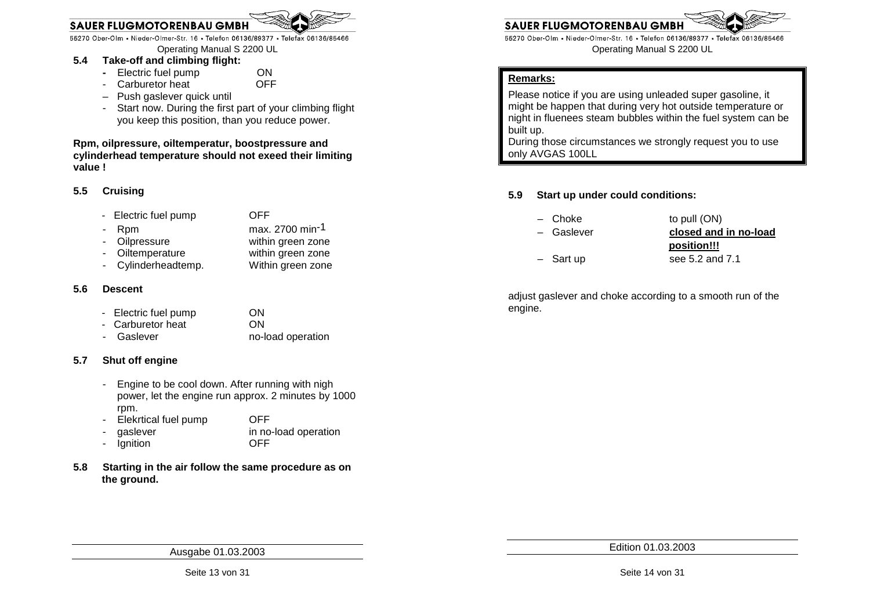55270 Ober-Olm • Nieder-Olmer-Str. 16 • Telefon 06136/89377 • Telefax 06136/85466

Operating Manual S 2200 UL

### **5.4 Take-off and climbing flight:**

- **- Electric fuel pump** ON - Carburetor heat
- Push gaslever quick until
- - Start now. During the first part of your climbing flight you keep this position, than you reduce power.

**OFF** 

**Rpm, oilpressure, oiltemperatur, boostpressure and cylinderhead temperature should not exeed their limiting value !** 

#### **5.5 Cruising**

- Electric fuel pump OFF
- $Rpm$  max. 2700 min<sup>-1</sup>
- Oilpressure within green zone
- Oiltemperature within green zone
	- Within green zone Cylinderheadtemp.

#### **5.6 Descent**

- Electric fuel pump ON
- ON - Carburetor heat
- Gaslever no-load operation

#### **5.7 Shut off engine**

- Engine to be cool down. After running with nigh power, let the engine run approx. 2 minutes by 1000rpm.
- Elekrtical fuel pump OFF
- gaslever in no-load operation lgnition OFF
- **5.8 Starting in the air follow the same procedure as on the ground.**



55270 Ober-Olm • Nieder-Olmer-Str. 16 • Telefon 06136/89377 • Telefax 06136/85466 Operating Manual S 2200 UL

#### **Remarks:**

Please notice if you are using unleaded super gasoline, it might be happen that during very hot outside temperature or night in fluenees steam bubbles within the fuel system can be built up.

 During those circumstances we strongly request you to use only AVGAS 100LL

#### **5.9 Start up under could conditions:**

**SAUER FLUGMOTORENBAU GMBI** 

- Choke to pull (ON) – Gaslever **closed and in no-load**
- **position!!!**– Sart up see 5.2 and 7.1

adjust gaslever and choke according to a smooth run of the engine.

Ausgabe 01.03.2003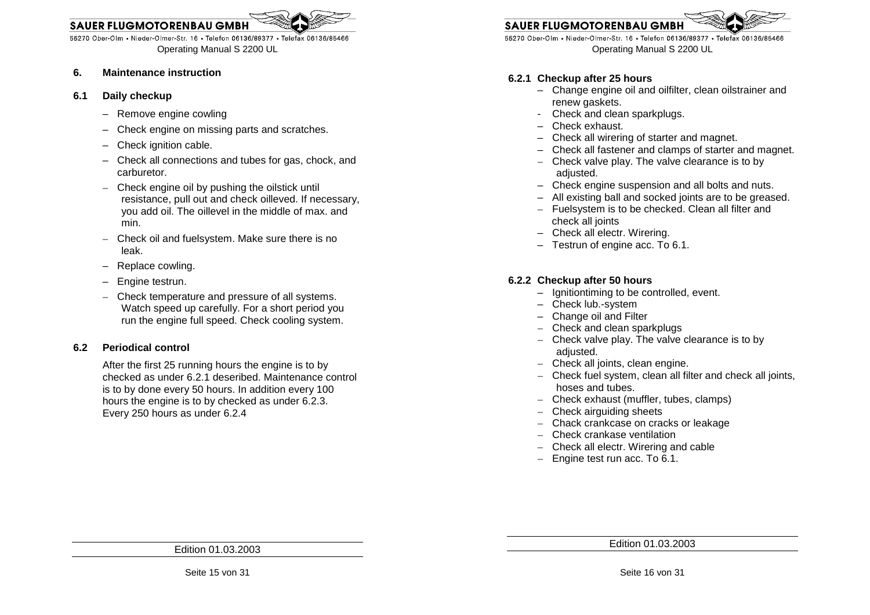55270 Ober-Olm • Nieder-Olmer-Str. 16 • Telefon 06136/89377 • Telefax 06136/85466 Operating Manual S 2200 UL

#### **6. Maintenance instruction**

- **6.1 Daily checkup** 
	- Remove engine cowling
	- Check engine on missing parts and scratches.
	- Check ignition cable.
	- Check all connections and tubes for gas, chock, and carburetor.
	- Check engine oil by pushing the oilstick until resistance, pull out and check oilleved. If necessary, you add oil. The oillevel in the middle of max. andmin.
	- Check oil and fuelsystem. Make sure there is no leak.
	- Replace cowling.
	- Engine testrun.
	- Check temperature and pressure of all systems. Watch speed up carefully. For a short period you run the engine full speed. Check cooling system.

#### **6.2 Periodical control**

After the first 25 running hours the engine is to by checked as under 6.2.1 deseribed. Maintenance control is to by done every 50 hours. In addition every 100 hours the engine is to by checked as under 6.2.3. Every 250 hours as under 6.2.4

### **SAUER FLUGMOTORENBAU GMB**

55270 Ober-Olm • Nieder-Olmer-Str. 16 • Telefon 06136/89377 • Telefax 06136/85466 Operating Manual S 2200 UL

#### **6.2.1 Checkup after 25 hours**

- – Change engine oil and oilfilter, clean oilstrainer and renew gaskets.
- - Check and clean sparkplugs.
	- Check exhaust.
- Check all wirering of starter and magnet.
- – Check all fastener and clamps of starter and magnet.
	- Check valve play. The valve clearance is to by adjusted.
- Check engine suspension and all bolts and nuts.
- – All existing ball and socked joints are to be greased.
	- Fuelsystem is to be checked. Clean all filter and check all joints
- Check all electr. Wirering.
- Testrun of engine acc. To 6.1.

#### **6.2.2 Checkup after 50 hours**

- – Ignitiontiming to be controlled, event.
	- Check lub.-system
- – Change oil and Filter
	- Check and clean sparkplugs
	- Check valve play. The valve clearance is to by adjusted. – Check all joints, clean engine.
	-
	- Check fuel system, clean all filter and check all joints, hoses and tubes.
	- Check exhaust (muffler, tubes, clamps)
	- Check airguiding sheets
	- Chack crankcase on cracks or leakage
	- Check crankase ventilation
	- Check all electr. Wirering and cable
	- Engine test run acc. To 6.1.

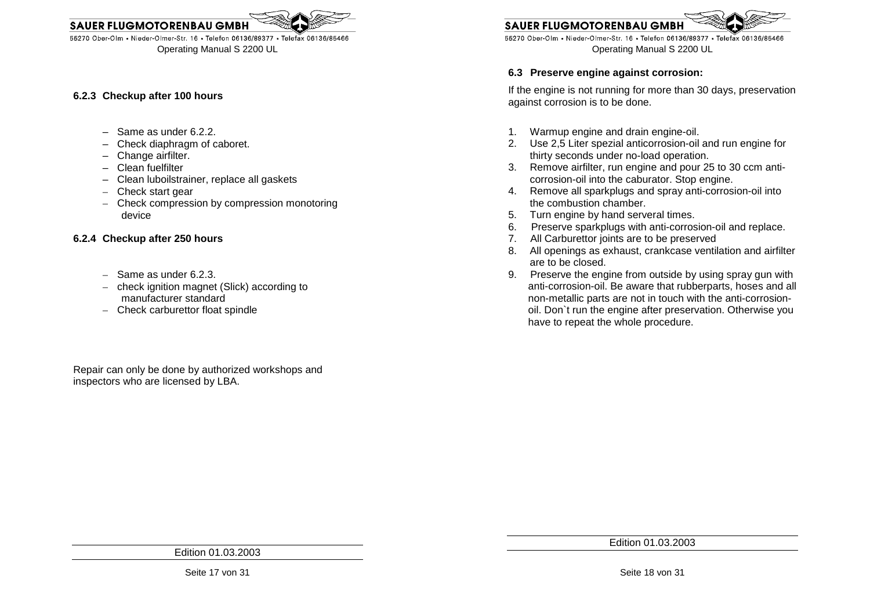

#### **6.2.3 Checkup after 100 hours**

- $-$  Same as under 6.2.2.
- – Check diaphragm of caboret.
	- Change airfilter.
	- Clean fuelfilter
- – Clean luboilstrainer, replace all gaskets
	- Check start gear
	- Check compression by compression monotoring device

#### **6.2.4 Checkup after 250 hours**

- Same as under 6.2.3.
- check ignition magnet (Slick) according to manufacturer standard
- Check carburettor float spindle

Repair can only be done by authorized workshops andinspectors who are licensed by LBA.

**SAUER FLUGMOTORENBAU GMB** 

55270 Ober-Olm • Nieder-Olmer-Str. 16 • Telefon 06136/89377 • Telefax 06136/85466 Operating Manual S 2200 UL

#### **6.3 Preserve engine against corrosion:**

If the engine is not running for more than 30 days, preservation against corrosion is to be done.

- 1. Warmup engine and drain engine-oil.
- 2. Use 2,5 Liter spezial anticorrosion-oil and run engine for thirty seconds under no-load operation.
- 3. Remove airfilter, run engine and pour 25 to 30 ccm anticorrosion-oil into the caburator. Stop engine.
- 4. Remove all sparkplugs and spray anti-corrosion-oil into the combustion chamber.
- 5. Turn engine by hand serveral times.
- 6. Preserve sparkplugs with anti-corrosion-oil and replace.
- 7. All Carburettor joints are to be preserved
- 8. All openings as exhaust, crankcase ventilation and airfilter are to be closed.
- 9. Preserve the engine from outside by using spray gun with anti-corrosion-oil. Be aware that rubberparts, hoses and all non-metallic parts are not in touch with the anti-corrosion- oil. Don`t run the engine after preservation. Otherwise you have to repeat the whole procedure.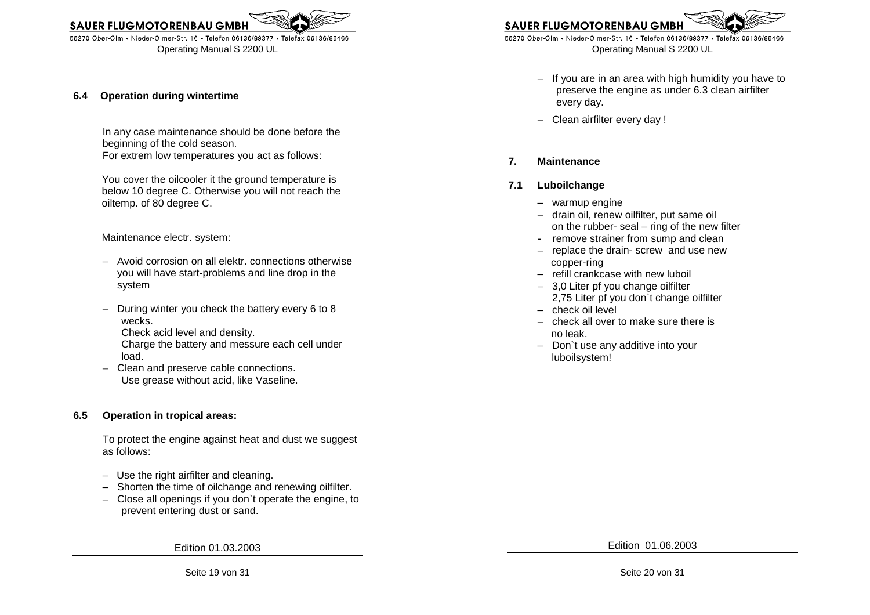

#### **6.4 Operation during wintertime**

In any case maintenance should be done before the beginning of the cold season. For extrem low temperatures you act as follows:

 You cover the oilcooler it the ground temperature is below 10 degree C. Otherwise you will not reach the oiltemp. of 80 degree C.

Maintenance electr. system:

- Avoid corrosion on all elektr. connections otherwise you will have start-problems and line drop in the system
- During winter you check the battery every 6 to 8 wecks. Check acid level and density. Charge the battery and messure each cell under

load.

– Clean and preserve cable connections. Use grease without acid, like Vaseline.

#### **6.5 Operation in tropical areas:**

To protect the engine against heat and dust we suggest as follows:

- Use the right airfilter and cleaning.
- – Shorten the time of oilchange and renewing oilfilter.
	- Close all openings if you don`t operate the engine, to prevent entering dust or sand.

Edition 01.03.2003



55270 Ober-Olm • Nieder-Olmer-Str. 16 • Telefon 06136/89377 • Telefax 06136/85466 Operating Manual S 2200 UL

- If you are in a rarea with high humidity you have to<br>preserve the engine as under 6.3 clean airfilter<br>every day.<br>- Clean airfilter every day!<br>7.<br>**Maintenance**<br>- warmup engine<br>- drain oil, renew oiffliter, put same oil<br>on
	-

- 
- 
- 
- 
- 
- 
- 
- 
-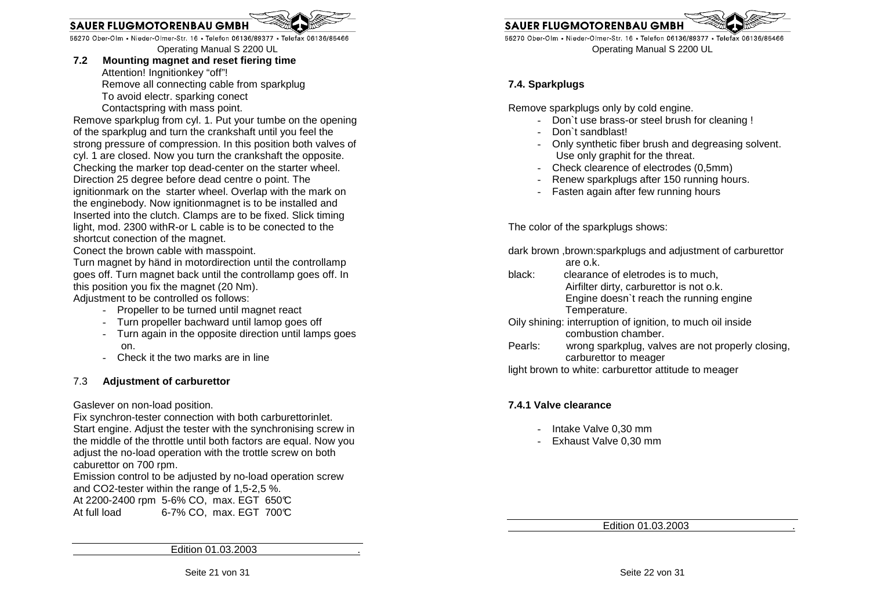55270 Ober-Olm • Nieder-Olmer-Str. 16 • Telefon 06136/89377 • Telefax 06136/85466

Operating Manual S 2200 UL

 **7.2 Mounting magnet and reset fiering time** Attention! Ingnitionkey "off"! Remove all connecting cable from sparkplug To avoid electr. sparking conect Contactspring with mass point.

 Remove sparkplug from cyl. 1. Put your tumbe on the opening of the sparkplug and turn the crankshaft until you feel the strong pressure of compression. In this position both valves of cyl. 1 are closed. Now you turn the crankshaft the opposite. Checking the marker top dead-center on the starter wheel. Direction 25 degree before dead centre o point. The ignitionmark on the starter wheel. Overlap with the mark on the enginebody. Now ignitionmagnet is to be installed and Inserted into the clutch. Clamps are to be fixed. Slick timing light, mod. 2300 withR-or L cable is to be conected to the shortcut conection of the magnet.

Conect the brown cable with masspoint.

 Turn magnet by händ in motordirection until the controllamp goes off. Turn magnet back until the controllamp goes off. In this position you fix the magnet (20 Nm).

Adjustment to be controlled os follows:

- Propeller to be turned until magnet react
- Turn propeller bachward until lamop goes off
- Turn again in the opposite direction until lamps goes on.
- Check it the two marks are in line

#### 7.3 **Adjustment of carburettor**

Gaslever on non-load position.

 Fix synchron-tester connection with both carburettorinlet. Start engine. Adjust the tester with the synchronising screw in the middle of the throttle until both factors are equal. Now you adjust the no-load operation with the trottle screw on both caburettor on 700 rpm. Emission control to be adjusted by no-load operation screw and CO2-tester within the range of 1,5-2,5 %. At 2200-2400 rpm 5-6% CO, max. EGT 650°C At full load 6-7% CO, max. EGT 700°C

**SAUER FLUGMOTORENBAU GMBI** 

55270 Ober-Olm • Nieder-Olmer-Str. 16 • Telefon 06136/89377 • Telefax 06136/85466 Operating Manual S 2200 UL

#### **7.4. Sparkplugs**

Remove sparkplugs only by cold engine.

- Don`t use brass-or steel brush for cleaning !
- Don`t sandblast!
- Only synthetic fiber brush and degreasing solvent.Use only graphit for the threat.
- Check clearence of electrodes (0,5mm)
- Renew sparkplugs after 150 running hours.
- Fasten again after few running hours

The color of the sparkplugs shows:

dark brown ,brown:sparkplugs and adjustment of carburettor are o.k.

- black: clearance of eletrodes is to much, Airfilter dirty, carburettor is not o.k. Engine doesn`t reach the running engine Temperature.
- Oily shining: interruption of ignition, to much oil inside combustion chamber.
- Pearls: wrong sparkplug, valves are not properly closing, carburettor to meager

light brown to white: carburettor attitude to meager

#### **7.4.1 Valve clearance**

- Intake Valve 0,30 mm
- Exhaust Valve 0,30 mm

Edition 01.03.2003 .

Edition 01.03.2003 .

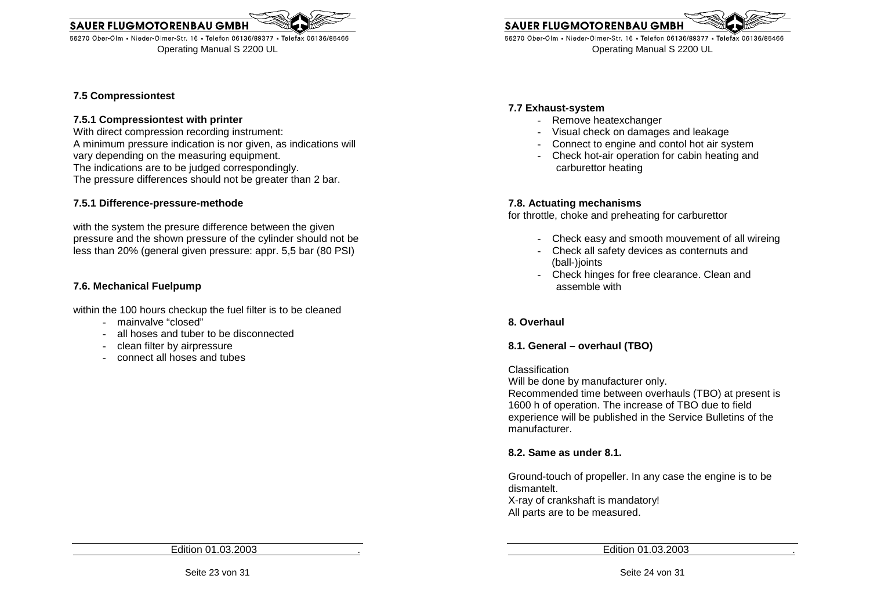55270 Ober-Olm • Nieder-Olmer-Str. 16 • Telefon 06136/89377 • Telefax 06136/85466 Operating Manual S 2200 UL

#### **7.5 Compressiontest**

#### **7.5.1 Compressiontest with printer**

 With direct compression recording instrument: A minimum pressure indication is nor given, as indications will vary depending on the measuring equipment. The indications are to be judged correspondingly. The pressure differences should not be greater than 2 bar.

#### **7.5.1 Difference-pressure-methode**

with the system the presure difference between the given pressure and the shown pressure of the cylinder should not be less than 20% (general given pressure: appr. 5,5 bar (80 PSI)

#### **7.6. Mechanical Fuelpump**

within the 100 hours checkup the fuel filter is to be cleaned

- mainvalve "closed"
- all hoses and tuber to be disconnected
- clean filter by airpressure
- connect all hoses and tubes

**SAUER FLUGMOTORENBAU GMB** 55270 Ober-Olm • Nieder-Olmer-Str. 16 • Telefon 06136/89377 • Telefax 06136/85466

Operating Manual S 2200 UL

#### **7.7 Exhaust-system**

- Remove heatexchanger
- Visual check on damages and leakage
- Connect to engine and contol hot air system
- Check hot-air operation for cabin heating and carburettor heating

#### **7.8. Actuating mechanisms**

for throttle, choke and preheating for carburettor

- Check easy and smooth mouvement of all wireing
- Check all safety devices as conternuts and (ball-)joints
- Check hinges for free clearance. Clean and assemble with

#### **8. Overhaul**

#### **8.1. General – overhaul (TBO)**

#### Classification

Will be done by manufacturer only.

 Recommended time between overhauls (TBO) at present is 1600 h of operation. The increase of TBO due to field experience will be published in the Service Bulletins of the manufacturer.

#### **8.2. Same as under 8.1.**

Ground-touch of propeller. In any case the engine is to be dismantelt. X-ray of crankshaft is mandatory! All parts are to be measured.

Edition 01.03.2003 .

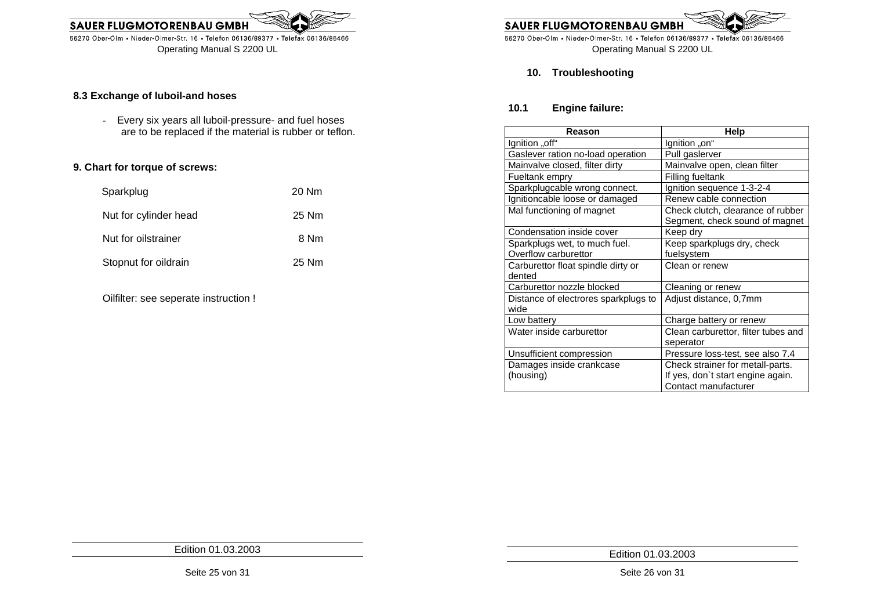

#### **8.3 Exchange of luboil-and hoses**

- Every six years all luboil-pressure- and fuel hoses are to be replaced if the material is rubber or teflon.

#### **9. Chart for torque of screws:**

| Sparkplug             | 20 Nm |
|-----------------------|-------|
| Nut for cylinder head | 25 Nm |
| Nut for oilstrainer   | 8 Nm  |
| Stopnut for oildrain  | 25 Nm |
|                       |       |

Oilfilter: see seperate instruction !



55270 Ober-Olm • Nieder-Olmer-Str. 16 • Telefon 06136/89377 • Telefax 06136/85466 Operating Manual S 2200 UL

#### **10. Troubleshooting**

#### **10.1 Engine failure:**

| Reason                               | Help                                |
|--------------------------------------|-------------------------------------|
| lgnition "off"                       | lgnition "on"                       |
| Gaslever ration no-load operation    | Pull gaslerver                      |
| Mainvalve closed, filter dirty       | Mainvalve open, clean filter        |
| Fueltank empry                       | Filling fueltank                    |
| Sparkplugcable wrong connect.        | Ignition sequence 1-3-2-4           |
| Ignitioncable loose or damaged       | Renew cable connection              |
| Mal functioning of magnet            | Check clutch, clearance of rubber   |
|                                      | Segment, check sound of magnet      |
| Condensation inside cover            | Keep dry                            |
| Sparkplugs wet, to much fuel.        | Keep sparkplugs dry, check          |
| Overflow carburettor                 | fuelsystem                          |
| Carburettor float spindle dirty or   | Clean or renew                      |
| dented                               |                                     |
| Carburettor nozzle blocked           | Cleaning or renew                   |
| Distance of electrores sparkplugs to | Adjust distance, 0,7mm              |
| wide                                 |                                     |
| Low battery                          | Charge battery or renew             |
| Water inside carburettor             | Clean carburettor, filter tubes and |
|                                      | seperator                           |
| Unsufficient compression             | Pressure loss-test, see also 7.4    |
| Damages inside crankcase             | Check strainer for metall-parts.    |
| (housing)                            | If yes, don't start engine again.   |
|                                      | Contact manufacturer                |

Edition 01.03.2003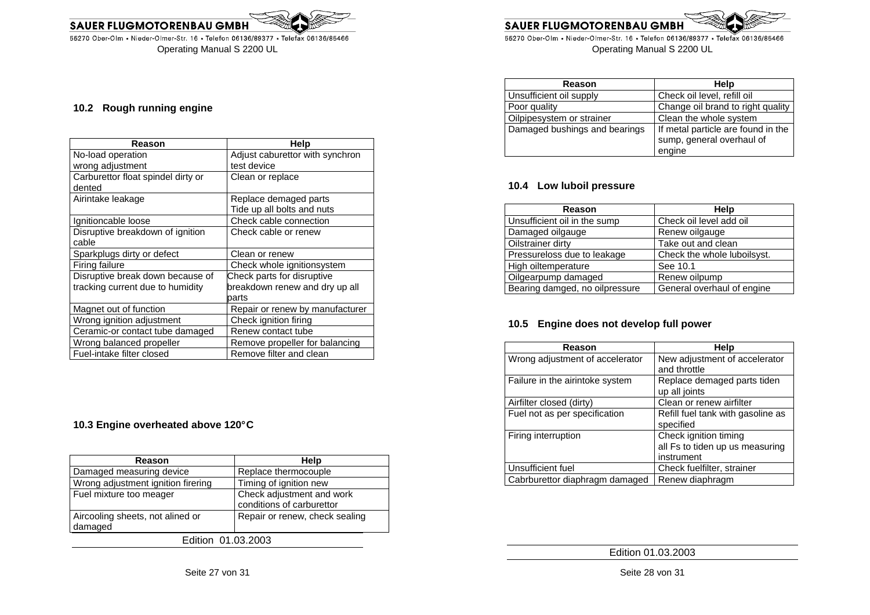55270 Ober-Olm • Nieder-Olmer-Str. 16 • Telefon 06136/89377 • Telefax 06136/85466 Operating Manual S 2200 UL



55270 Ober-Olm • Nieder-Olmer-Str. 16 • Telefon 06136/89377 • Telefax 06136/85466 Operating Manual S 2200 UL

| Reason                        | Help                               |
|-------------------------------|------------------------------------|
| Unsufficient oil supply       | Check oil level, refill oil        |
| Poor quality                  | Change oil brand to right quality  |
| Oilpipesystem or strainer     | Clean the whole system             |
| Damaged bushings and bearings | If metal particle are found in the |
|                               | sump, general overhaul of          |
|                               | engine                             |

#### **10.4 Low luboil pressure**

| Reason                         | Help                        |
|--------------------------------|-----------------------------|
| Unsufficient oil in the sump   | Check oil level add oil     |
| Damaged oilgauge               | Renew oilgauge              |
| Oilstrainer dirty              | Take out and clean          |
| Pressureloss due to leakage    | Check the whole luboilsyst. |
| High oiltemperature            | See 10.1                    |
| Oilgearpump damaged            | Renew oilpump               |
| Bearing damged, no oilpressure | General overhaul of engine  |

### **10.5 Engine does not develop full power**

| Reason                          | Help                                                                   |
|---------------------------------|------------------------------------------------------------------------|
| Wrong adjustment of accelerator | New adjustment of accelerator<br>and throttle                          |
| Failure in the airintoke system | Replace demaged parts tiden<br>up all joints                           |
| Airfilter closed (dirty)        | Clean or renew airfilter                                               |
| Fuel not as per specification   | Refill fuel tank with gasoline as<br>specified                         |
| Firing interruption             | Check ignition timing<br>all Fs to tiden up us measuring<br>instrument |
| Unsufficient fuel               | Check fuelfilter, strainer                                             |
| Cabrburettor diaphragm damaged  | Renew diaphragm                                                        |

Edition 01.03.2003

#### **10.2 Rough running engine**

| Reason                             | Help                            |
|------------------------------------|---------------------------------|
| No-load operation                  | Adjust caburettor with synchron |
| wrong adjustment                   | test device                     |
| Carburettor float spindel dirty or | Clean or replace                |
| dented                             |                                 |
| Airintake leakage                  | Replace demaged parts           |
|                                    | Tide up all bolts and nuts      |
| Ignitioncable loose                | Check cable connection          |
| Disruptive breakdown of ignition   | Check cable or renew            |
| cable                              |                                 |
| Sparkplugs dirty or defect         | Clean or renew                  |
| Firing failure                     | Check whole ignitionsystem      |
| Disruptive break down because of   | Check parts for disruptive      |
| tracking current due to humidity   | breakdown renew and dry up all  |
|                                    | parts                           |
| Magnet out of function             | Repair or renew by manufacturer |
| Wrong ignition adjustment          | Check ignition firing           |
| Ceramic-or contact tube damaged    | Renew contact tube              |
| Wrong balanced propeller           | Remove propeller for balancing  |
| Fuel-intake filter closed          | Remove filter and clean         |

#### **10.3 Engine overheated above 120° C**

| Reason                                      | Help                                                   |  |  |
|---------------------------------------------|--------------------------------------------------------|--|--|
| Damaged measuring device                    | Replace thermocouple                                   |  |  |
| Wrong adjustment ignition firering          | Timing of ignition new                                 |  |  |
| Fuel mixture too meager                     | Check adjustment and work<br>conditions of carburettor |  |  |
| Aircooling sheets, not alined or<br>damaged | Repair or renew, check sealing                         |  |  |
| Edition 01.03.2003                          |                                                        |  |  |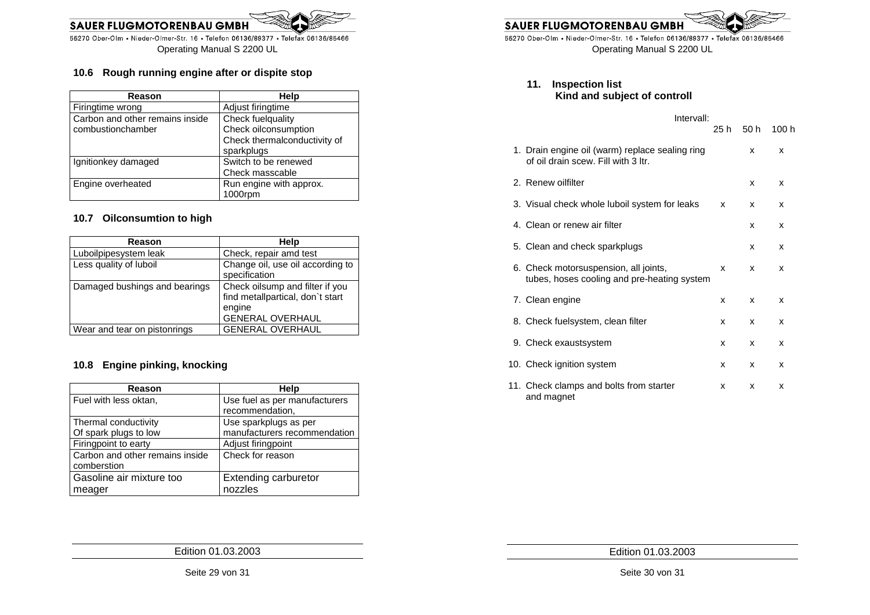

#### **10.6 Rough running engine after or dispite stop**

| Reason                          | Help                         |
|---------------------------------|------------------------------|
| Firingtime wrong                | Adjust firingtime            |
| Carbon and other remains inside | Check fuelquality            |
| combustionchamber               | Check oilconsumption         |
|                                 | Check thermalconductivity of |
|                                 | sparkplugs                   |
| Ignitionkey damaged             | Switch to be renewed         |
|                                 | Check masscable              |
| Engine overheated               | Run engine with approx.      |
|                                 | 1000rpm                      |

#### **10.7 Oilconsumtion to high**

| Reason                        | Help                                                                                                     |
|-------------------------------|----------------------------------------------------------------------------------------------------------|
| Luboilpipesystem leak         | Check, repair amd test                                                                                   |
| Less quality of luboil        | Change oil, use oil according to<br>specification                                                        |
| Damaged bushings and bearings | Check oilsump and filter if you<br>find metallpartical, don't start<br>engine<br><b>GENERAL OVERHAUL</b> |
| Wear and tear on pistonrings  | <b>GENERAL OVERHAUL</b>                                                                                  |

#### **10.8 Engine pinking, knocking**

| Reason                          | Help                                             |
|---------------------------------|--------------------------------------------------|
| Fuel with less oktan,           | Use fuel as per manufacturers<br>recommendation, |
| Thermal conductivity            | Use sparkplugs as per                            |
| Of spark plugs to low           | manufacturers recommendation                     |
| Firingpoint to earty            | Adjust firingpoint                               |
| Carbon and other remains inside | Check for reason                                 |
| comberstion                     |                                                  |
| Gasoline air mixture too        | <b>Extending carburetor</b>                      |
| meager                          | nozzles                                          |

**SAUER FLUGMOTORENBAU GMBH** 

55270 Ober-Olm • Nieder-Olmer-Str. 16 • Telefon 06136/89377 • Telefax 06136/85466 Operating Manual S 2200 UL

**11. Inspection list Kind and subject of controll**

## Intervall: 25 h 50 h 100 h 1. Drain engine oil (warm) replace sealing ring  $\begin{array}{ccc} x & x \\ y & x \end{array}$  of oil drain scew. Fill with 3 ltr. 2. Renew oilfilter values and the set of the set of the set of the set of the set of the set of the set of the set of the set of the set of the set of the set of the set of the set of the set of the set of the set of the s 3. Visual check whole luboil system for leaks  $x - x$  x x 4. Clean or renew air filter **x** x x 5. Clean and check sparkplugs **x** x x 6. Check motorsuspension, all joints,  $x - x$  x x tubes, hoses cooling and pre-heating system

| 7. Clean engine                                       | <b>X</b> | <b>X</b>     | x |
|-------------------------------------------------------|----------|--------------|---|
| 8. Check fuelsystem, clean filter                     | x        | $\mathsf{x}$ | x |
| 9. Check exaustsystem                                 | <b>X</b> | <b>X</b>     | x |
| 10. Check ignition system                             | <b>X</b> | X.           | x |
| 11. Check clamps and bolts from starter<br>and magnet | X        | x            | x |

Seite 29 von 31 Edition 01.03.2003